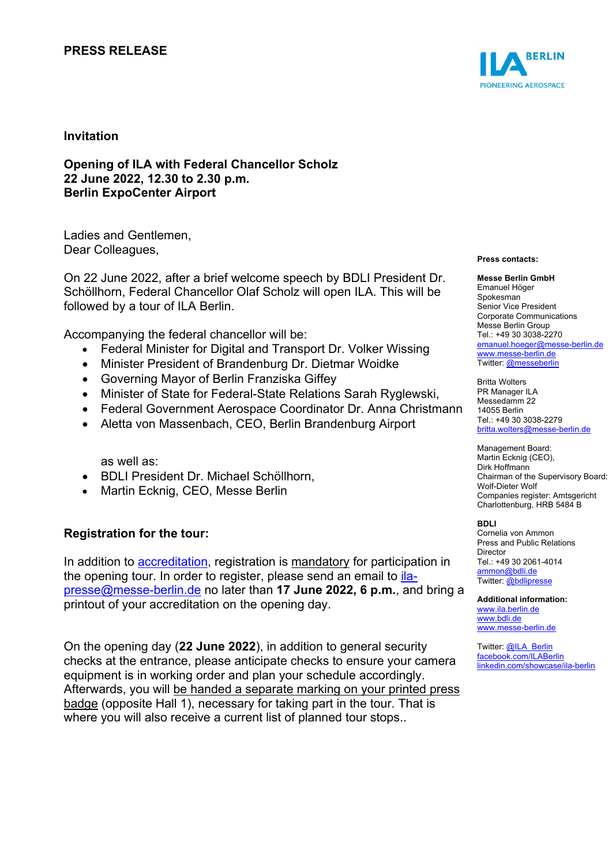## **PRESS RELEASE**



### **Invitation**

**Opening of ILA with Federal Chancellor Scholz 22 June 2022, 12.30 to 2.30 p.m. Berlin ExpoCenter Airport**

Ladies and Gentlemen, Dear Colleagues,

On 22 June 2022, after a brief welcome speech by BDLI President Dr. Schöllhorn, Federal Chancellor Olaf Scholz will open ILA. This will be followed by a tour of ILA Berlin.

Accompanying the federal chancellor will be:

- Federal Minister for Digital and Transport Dr. Volker Wissing
- Minister President of Brandenburg Dr. Dietmar Woidke
- Governing Mayor of Berlin Franziska Giffey
- Minister of State for Federal-State Relations Sarah Ryglewski,
- Federal Government Aerospace Coordinator Dr. Anna Christmann
- Aletta von Massenbach, CEO, Berlin Brandenburg Airport

as well as:

- BDLI President Dr. Michael Schöllhorn,
- Martin Ecknig, CEO, Messe Berlin

### **Registration for the tour:**

In addition to [accreditation,](https://messe-berlin.press-registration.de/ILA2022/lang/en) registration is mandatory for participation in the opening tour. In order to register, please send an email to *ila*[presse@messe-berlin.de](mailto:ila-presse@messe-berlin.de) no later than **17 June 2022, 6 p.m.**, and bring a printout of your accreditation on the opening day.

On the opening day (**22 June 2022**), in addition to general security checks at the entrance, please anticipate checks to ensure your camera equipment is in working order and plan your schedule accordingly. Afterwards, you will be handed a separate marking on your printed press badge (opposite Hall 1), necessary for taking part in the tour. That is where you will also receive a current list of planned tour stops..

#### **Press contacts:**

#### **Messe Berlin GmbH** Emanuel Höger Spokesman Senior Vice President Corporate Communications Messe Berlin Group

Tel.: +49 30 3038-2270 [emanuel.hoeger@messe-berlin.de](mailto:emanuel.hoeger@messe-berlin.de) [www.messe-berlin.de](http://www.messe-berlin.de/) Twitter: [@messeberlin](https://twitter.com/messeberlin)

Britta Wolters PR Manager ILA Messedamm 22 14055 Berlin Tel.: +49 30 3038-2279 [britta.wolters@messe-berlin.de](mailto:britta.wolters@messe-berlin.de)

Management Board: Martin Ecknig (CEO), Dirk Hoffmann Chairman of the Supervisory Board: Wolf-Dieter Wolf Companies register: Amtsgericht Charlottenburg, HRB 5484 B

### **BDLI**

Cornelia von Ammon Press and Public Relations **Director** Tel.: +49 30 2061-4014 [ammon@bdli.de](mailto:ammon@bdli.de) Twitter: [@bdlipresse](https://twitter.com/bdlipresse?lang=de)

**Additional information:** [www.ila.berlin.de](http://www.ila.berlin.de/) [www.bdli.de](http://www.bdli.de/) [www.messe-berlin.de](http://www.messe-berlin.de/)

Twitter: [@ILA\\_Berlin](https://twitter.com/ila_berlin?lang=de) [facebook.com/ILABerlin](file:///C:%5CUsers%5CWoiton.Sandra%5CAppData%5CLocal%5CMicrosoft%5CWindows%5Cammon%5CAppData%5CLocal%5CUsers%5CFrankeC%5CAppData%5CLocal%5CMicrosoft%5CWindows%5CINetCache%5CContent.Outlook%5CAppData%5CLocal%5CMicrosoft%5CWindows%5CINetCache%5CContent.Outlook%5CAppData%5CLocal%5CMicrosoft%5CWindows%5CINetCache%5CContent.Outlook%5CNIXZO984%5Cfacebook.com%5CILABerlin%0bhttps:%5Cwww.linkedin.com%5Cshowcase%5Cila-berlin) [linkedin.com/showcase/ila-berlin](https://www.linkedin.com/showcase/ila-berlin)